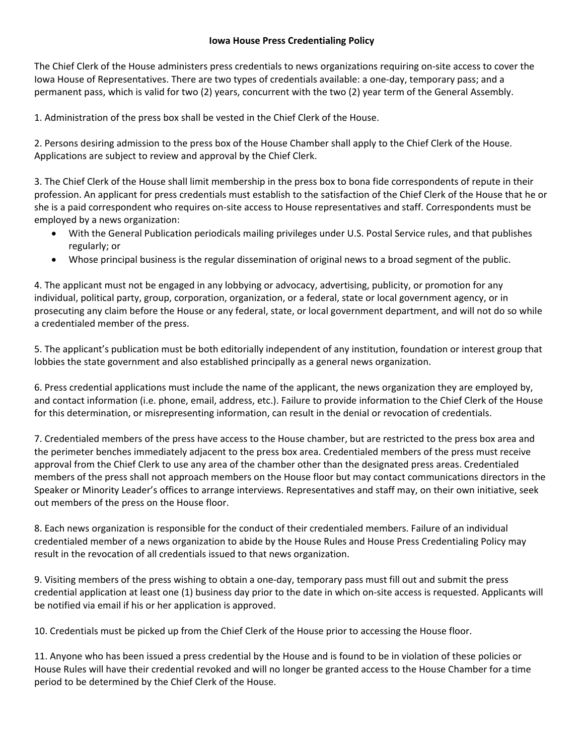## **Iowa House Press Credentialing Policy**

The Chief Clerk of the House administers press credentials to news organizations requiring on-site access to cover the Iowa House of Representatives. There are two types of credentials available: a one-day, temporary pass; and a permanent pass, which is valid for two (2) years, concurrent with the two (2) year term of the General Assembly.

1. Administration of the press box shall be vested in the Chief Clerk of the House.

2. Persons desiring admission to the press box of the House Chamber shall apply to the Chief Clerk of the House. Applications are subject to review and approval by the Chief Clerk.

3. The Chief Clerk of the House shall limit membership in the press box to bona fide correspondents of repute in their profession. An applicant for press credentials must establish to the satisfaction of the Chief Clerk of the House that he or she is a paid correspondent who requires on-site access to House representatives and staff. Correspondents must be employed by a news organization:

- With the General Publication periodicals mailing privileges under U.S. Postal Service rules, and that publishes regularly; or
- Whose principal business is the regular dissemination of original news to a broad segment of the public.

4. The applicant must not be engaged in any lobbying or advocacy, advertising, publicity, or promotion for any individual, political party, group, corporation, organization, or a federal, state or local government agency, or in prosecuting any claim before the House or any federal, state, or local government department, and will not do so while a credentialed member of the press.

5. The applicant's publication must be both editorially independent of any institution, foundation or interest group that lobbies the state government and also established principally as a general news organization.

6. Press credential applications must include the name of the applicant, the news organization they are employed by, and contact information (i.e. phone, email, address, etc.). Failure to provide information to the Chief Clerk of the House for this determination, or misrepresenting information, can result in the denial or revocation of credentials.

7. Credentialed members of the press have access to the House chamber, but are restricted to the press box area and the perimeter benches immediately adjacent to the press box area. Credentialed members of the press must receive approval from the Chief Clerk to use any area of the chamber other than the designated press areas. Credentialed members of the press shall not approach members on the House floor but may contact communications directors in the Speaker or Minority Leader's offices to arrange interviews. Representatives and staff may, on their own initiative, seek out members of the press on the House floor.

8. Each news organization is responsible for the conduct of their credentialed members. Failure of an individual credentialed member of a news organization to abide by the House Rules and House Press Credentialing Policy may result in the revocation of all credentials issued to that news organization.

9. Visiting members of the press wishing to obtain a one-day, temporary pass must fill out and submit the press credential application at least one (1) business day prior to the date in which on-site access is requested. Applicants will be notified via email if his or her application is approved.

10. Credentials must be picked up from the Chief Clerk of the House prior to accessing the House floor.

11. Anyone who has been issued a press credential by the House and is found to be in violation of these policies or House Rules will have their credential revoked and will no longer be granted access to the House Chamber for a time period to be determined by the Chief Clerk of the House.